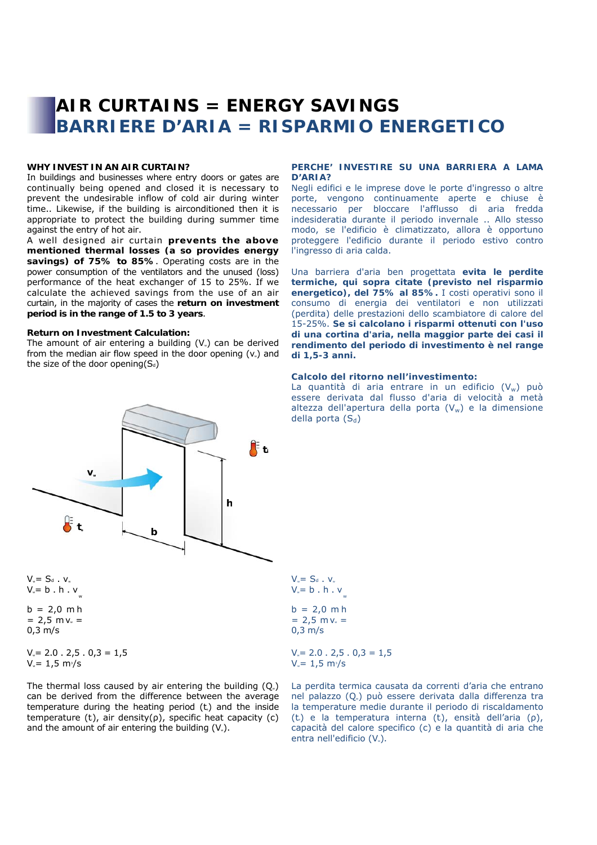# **AIR CURTAINS = ENERGY SAVINGS BARRIERE D'ARIA = RISPARMIO ENERGETICO**

## **WHY INVEST IN AN AIR CURTAIN?**

In buildings and businesses where entry doors or gates are continually being opened and closed it is necessary to prevent the undesirable inflow of cold air during winter time.. Likewise, if the building is airconditioned then it is appropriate to protect the building during summer time against the entry of hot air.

A well designed air curtain **prevents the above mentioned thermal losses (a so provides energy savings) of 75% to 85%**. Operating costs are in the power consumption of the ventilators and the unused (loss) performance of the heat exchanger of 15 to 25%. If we calculate the achieved savings from the use of an air curtain, in the majority of cases the **return on investment period is in the range of 1.5 to 3 years**.

#### **Return on Investment Calculation:**

The amount of air entering a building  $(V_*)$  can be derived from the median air flow speed in the door opening  $(v_*)$  and the size of the door opening( $S_d$ )

#### **PERCHE' INVESTIRE SU UNA BARRIERA A LAMA D'ARIA?**

Negli edifici e le imprese dove le porte d'ingresso o altre porte, vengono continuamente aperte e chiuse è necessario per bloccare l'afflusso di aria fredda indesideratia durante il periodo invernale .. Allo stesso modo, se l'edificio è climatizzato, allora è opportuno proteggere l'edificio durante il periodo estivo contro l'ingresso di aria calda.

Una barriera d'aria ben progettata **evita le perdite termiche, qui sopra citate (previsto nel risparmio energetico), del 75% al 85%.** I costi operativi sono il consumo di energia dei ventilatori e non utilizzati (perdita) delle prestazioni dello scambiatore di calore del 15-25%. **Se si calcolano i risparmi ottenuti con l'uso di una cortina d'aria, nella maggior parte dei casi il rendimento del periodo di investimento è nel range di 1,5-3 anni.** 

#### **Calcolo del ritorno nell'investimento:**

La quantità di aria entrare in un edificio  $(V_w)$  può essere derivata dal flusso d'aria di velocità a metà altezza dell'apertura della porta  $(V_w)$  e la dimensione della porta  $(S_d)$ 



 $V_{\text{w}}= S_d$  .  $V_{\text{w}}$  $V_{\nu}$ = b . h .  $v$  $b = 2,0$  m h  $= 2.5$  m v<sub>x</sub> = 0,3 m/s

 $V = 2.0$ .  $2,5$ .  $0,3 = 1,5$  $V_{\rm w}$ = 1,5 m<sup>3</sup>/s

The thermal loss caused by air entering the building  $(Q<sub>w</sub>)$ can be derived from the difference between the average temperature during the heating period  $(t<sub>c</sub>)$  and the inside temperature (t), air density( $\rho$ ), specific heat capacity (c) and the amount of air entering the building  $(V_*)$ .

 $V_w = S_d$ .  $V_w$  $V_v = b \cdot h \cdot v$  $b = 2,0$  m h  $= 2.5$  m v<sub>w</sub> = 0,3 m/s

 $V = 2.0$ .  $2,5$ .  $0,3 = 1,5$  $V_{\rm w} = 1,5 \, \rm m/s$ 

La perdita termica causata da correnti d'aria che entrano nel palazzo (Q.) può essere derivata dalla differenza tra la temperature medie durante il periodo di riscaldamento (t) e la temperatura interna (t), ensità dell'aria ( $\rho$ ), capacità del calore specifico (c) e la quantità di aria che entra nell'edificio (V.).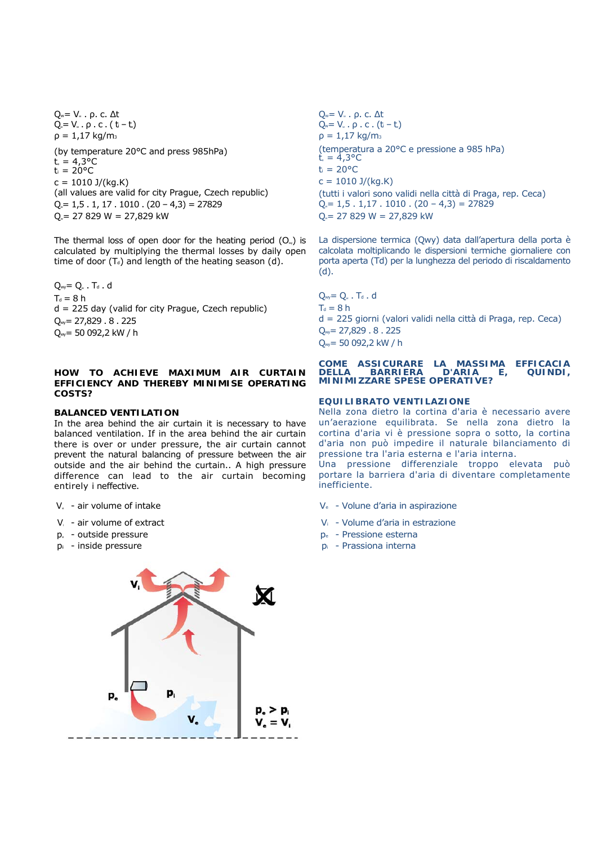Qw= Vw . ρ. c. Δt  $Q = V_w \cdot \rho \cdot c \cdot (t - t)$  $ρ = 1.17 kg/m<sub>3</sub>$ (by temperature 20°C and press 985hPa)  $t = 4.3^{\circ}C$  $t_i = 20^{\circ}C$  $c = 1010$  J/(kg.K) (all values are valid for city Prague, Czech republic)  $Q_{\nu} = 1.5 \cdot 1, 17 \cdot 1010 \cdot (20 - 4.3) = 27829$  $Q_{\text{w}}$  = 27 829 W = 27,829 kW

The thermal loss of open door for the heating period  $(O_{\nu})$  is calculated by multiplying the thermal losses by daily open time of door  $(T_d)$  and length of the heating season (d).

 $Q_{wy} = Q_w$ . Td. d  $T_d = 8 h$ d = 225 day (valid for city Prague, Czech republic)  $Q_{\text{w}}$ = 27,829 . 8 . 225 Qwy= 50 092,2 kW / h

# **HOW TO ACHIEVE MAXIMUM AIR CURTAIN EFFICIENCY AND THEREBY MINIMISE OPERATING COSTS?**

### *BALANCED VENTILATION*

In the area behind the air curtain it is necessary to have balanced ventilation. If in the area behind the air curtain there is over or under pressure, the air curtain cannot prevent the natural balancing of pressure between the air outside and the air behind the curtain.. A high pressure difference can lead to the air curtain becoming entirely i neffective.

- 
- 
- $p_{e}$  outside pressure esterna per Pressione esterna
- 



Qw= Vw . ρ. c. Δt  $Q_w = V_w \cdot \rho \cdot c \cdot (t_i - t_i)$  $ρ = 1,17$  kg/m<sub>3</sub> (temperatura a 20°C e pressione a 985 hPa)  $t = 4.3$ °C  $t_i = 20$ °C  $c = 1010 \text{ J/(kg.K)}$ (tutti i valori sono validi nella città di Praga, rep. Ceca)  $Q_{\nu} = 1, 5 \cdot 1, 17 \cdot 1010 \cdot (20 - 4, 3) = 27829$  $Q = 27829$  W = 27,829 kW

La dispersione termica (Qwy) data dall'apertura della porta è calcolata moltiplicando le dispersioni termiche giornaliere con porta aperta (Td) per la lunghezza del periodo di riscaldamento (d).

 $Q_{wy} = Q_w$ . T<sub>d</sub>. d  $T_d = 8 h$ d = 225 giorni (valori validi nella città di Praga, rep. Ceca) Qwy= 27,829 . 8 . 225 Qwy= 50 092,2 kW / h

#### **COME ASSICURARE LA MASSIMA EFFICACIA DELLA BARRIERA D'ARIA E, QUINDI, MINIMIZZARE SPESE OPERATIVE?**

#### *EQUILIBRATO VENTILAZIONE*

Nella zona dietro la cortina d'aria è necessario avere un'aerazione equilibrata. Se nella zona dietro la cortina d'aria vi è pressione sopra o sotto, la cortina d'aria non può impedire il naturale bilanciamento di pressione tra l'aria esterna e l'aria interna.

Una pressione differenziale troppo elevata può portare la barriera d'aria di diventare completamente inefficiente.

- $V_{e}$  air volume of intake  $V_{e}$  Volune d'aria in aspirazione
- Vi air volume of extract Vi Volume d'aria in estrazione
	-
- $p_i$  inside pressure example and pixel  $p_i$  Prassiona internal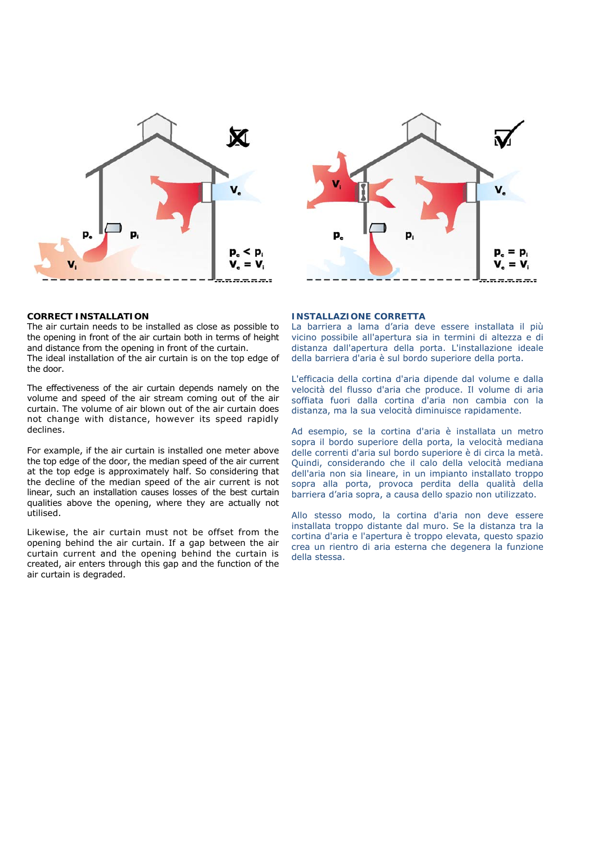



#### **CORRECT INSTALLATION**

The air curtain needs to be installed as close as possible to the opening in front of the air curtain both in terms of height and distance from the opening in front of the curtain. The ideal installation of the air curtain is on the top edge of the door.

The effectiveness of the air curtain depends namely on the volume and speed of the air stream coming out of the air curtain. The volume of air blown out of the air curtain does not change with distance, however its speed rapidly declines.

For example, if the air curtain is installed one meter above the top edge of the door, the median speed of the air current at the top edge is approximately half. So considering that the decline of the median speed of the air current is not linear, such an installation causes losses of the best curtain qualities above the opening, where they are actually not utilised.

Likewise, the air curtain must not be offset from the opening behind the air curtain. If a gap between the air curtain current and the opening behind the curtain is created, air enters through this gap and the function of the air curtain is degraded.

#### **INSTALLAZIONE CORRETTA**

La barriera a lama d'aria deve essere installata il più vicino possibile all'apertura sia in termini di altezza e di distanza dall'apertura della porta. L'installazione ideale della barriera d'aria è sul bordo superiore della porta.

L'efficacia della cortina d'aria dipende dal volume e dalla velocità del flusso d'aria che produce. Il volume di aria soffiata fuori dalla cortina d'aria non cambia con la distanza, ma la sua velocità diminuisce rapidamente.

Ad esempio, se la cortina d'aria è installata un metro sopra il bordo superiore della porta, la velocità mediana delle correnti d'aria sul bordo superiore è di circa la metà. Quindi, considerando che il calo della velocità mediana dell'aria non sia lineare, in un impianto installato troppo sopra alla porta, provoca perdita della qualità della barriera d'aria sopra, a causa dello spazio non utilizzato.

Allo stesso modo, la cortina d'aria non deve essere installata troppo distante dal muro. Se la distanza tra la cortina d'aria e l'apertura è troppo elevata, questo spazio crea un rientro di aria esterna che degenera la funzione della stessa.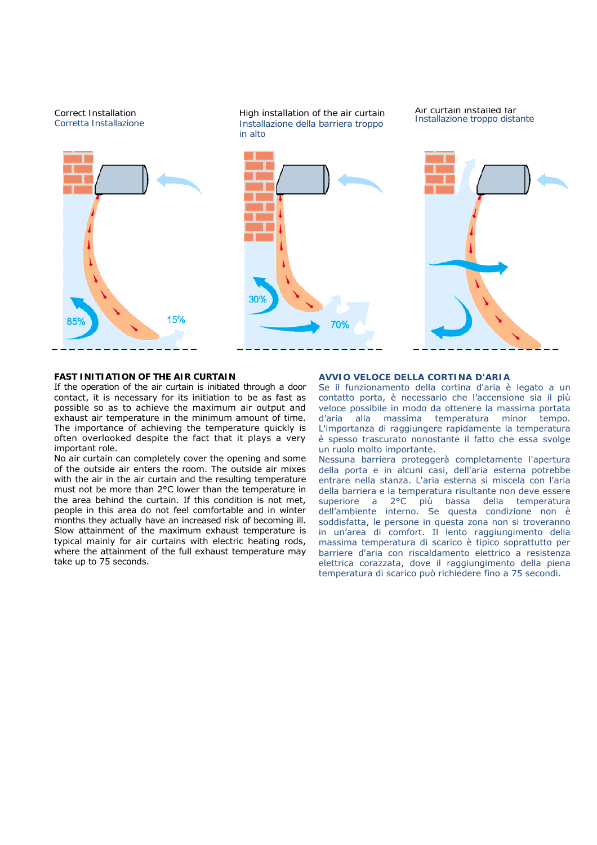

#### **FAST INITIATION OF THE AIR CURTAIN**

If the operation of the air curtain is initiated through a door contact, it is necessary for its initiation to be as fast as possible so as to achieve the maximum air output and exhaust air temperature in the minimum amount of time. The importance of achieving the temperature quickly is often overlooked despite the fact that it plays a very important role.

No air curtain can completely cover the opening and some of the outside air enters the room. The outside air mixes with the air in the air curtain and the resulting temperature must not be more than 2°C lower than the temperature in the area behind the curtain. If this condition is not met, people in this area do not feel comfortable and in winter months they actually have an increased risk of becoming ill. Slow attainment of the maximum exhaust temperature is typical mainly for air curtains with electric heating rods, where the attainment of the full exhaust temperature may take up to 75 seconds.

#### **AVVIO VELOCE DELLA CORTINA D'ARIA**

Se il funzionamento della cortina d'aria è legato a un contatto porta, è necessario che l'accensione sia il più veloce possibile in modo da ottenere la massima portata d'aria alla massima temperatura minor tempo. L'importanza di raggiungere rapidamente la temperatura è spesso trascurato nonostante il fatto che essa svolge un ruolo molto importante.

Nessuna barriera proteggerà completamente l'apertura della porta e in alcuni casi, dell'aria esterna potrebbe entrare nella stanza. L'aria esterna si miscela con l'aria della barriera e la temperatura risultante non deve essere superiore a 2°C più bassa della temperatura dell'ambiente interno. Se questa condizione non è soddisfatta, le persone in questa zona non si troveranno in un'area di comfort. Il lento raggiungimento della massima temperatura di scarico è tipico soprattutto per barriere d'aria con riscaldamento elettrico a resistenza elettrica corazzata, dove il raggiungimento della piena temperatura di scarico può richiedere fino a 75 secondi.